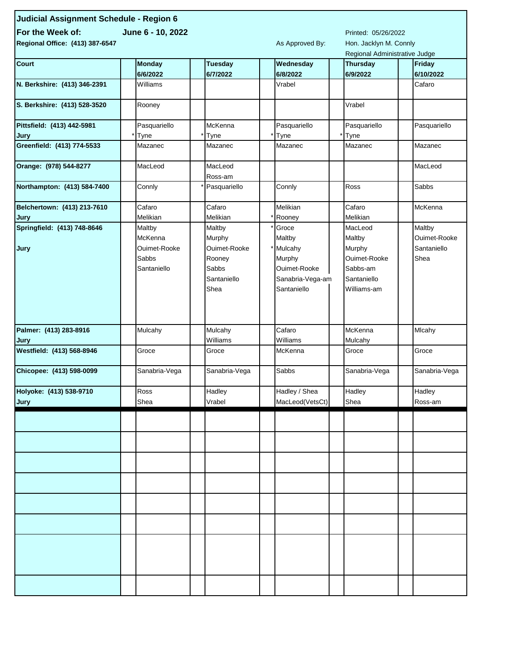| Judicial Assignment Schedule - Region 6 |                           |                     |                            |  |                       |  |                               |  |                            |  |
|-----------------------------------------|---------------------------|---------------------|----------------------------|--|-----------------------|--|-------------------------------|--|----------------------------|--|
| For the Week of:                        |                           | Printed: 05/26/2022 |                            |  |                       |  |                               |  |                            |  |
| Regional Office: (413) 387-6547         |                           |                     |                            |  | As Approved By:       |  | Hon. Jacklyn M. Connly        |  |                            |  |
|                                         |                           |                     |                            |  |                       |  | Regional Administrative Judge |  |                            |  |
| Court                                   | <b>Monday</b><br>6/6/2022 |                     | <b>Tuesday</b><br>6/7/2022 |  | Wednesday<br>6/8/2022 |  | <b>Thursday</b><br>6/9/2022   |  | <b>Friday</b><br>6/10/2022 |  |
| N. Berkshire: (413) 346-2391            | Williams                  |                     |                            |  | Vrabel                |  |                               |  | Cafaro                     |  |
| S. Berkshire: (413) 528-3520            | Rooney                    |                     |                            |  |                       |  | Vrabel                        |  |                            |  |
| Pittsfield: (413) 442-5981              | Pasquariello              |                     | McKenna                    |  | Pasquariello          |  | Pasquariello                  |  | Pasquariello               |  |
| Jury                                    | Tyne                      |                     | Tyne                       |  | Tyne                  |  | Tyne                          |  |                            |  |
| Greenfield: (413) 774-5533              | Mazanec                   |                     | Mazanec                    |  | Mazanec               |  | Mazanec                       |  | Mazanec                    |  |
| Orange: (978) 544-8277                  | MacLeod                   |                     | MacLeod<br>Ross-am         |  |                       |  |                               |  | MacLeod                    |  |
| Northampton: (413) 584-7400             | Connly                    |                     | Pasquariello               |  | Connly                |  | Ross                          |  | Sabbs                      |  |
| Belchertown: (413) 213-7610             | Cafaro                    |                     | Cafaro                     |  | Melikian              |  | Cafaro                        |  | McKenna                    |  |
| Jury                                    | Melikian                  |                     | Melikian                   |  | Rooney                |  | Melikian                      |  |                            |  |
| Springfield: (413) 748-8646             | Maltby                    |                     | Maltby                     |  | Groce                 |  | MacLeod                       |  | Maltby                     |  |
|                                         | McKenna                   |                     | Murphy                     |  | Maltby                |  | Maltby                        |  | Ouimet-Rooke               |  |
| Jury                                    | Ouimet-Rooke              |                     | Ouimet-Rooke               |  | Mulcahy               |  | Murphy                        |  | Santaniello                |  |
|                                         | Sabbs                     |                     | Rooney                     |  | Murphy                |  | Ouimet-Rooke                  |  | Shea                       |  |
|                                         | Santaniello               |                     | Sabbs                      |  | Ouimet-Rooke          |  | Sabbs-am                      |  |                            |  |
|                                         |                           |                     | Santaniello                |  | Sanabria-Vega-am      |  | Santaniello                   |  |                            |  |
|                                         |                           |                     | Shea                       |  | Santaniello           |  | Williams-am                   |  |                            |  |
|                                         |                           |                     |                            |  |                       |  |                               |  |                            |  |
| Palmer: (413) 283-8916                  | Mulcahy                   |                     | Mulcahy                    |  | Cafaro                |  | McKenna                       |  | Mlcahy                     |  |
| Jury                                    |                           |                     | Williams                   |  | Williams              |  | Mulcahy                       |  |                            |  |
| Westfield: (413) 568-8946               | Groce                     |                     | Groce                      |  | McKenna               |  | Groce                         |  | Groce                      |  |
| Chicopee: (413) 598-0099                | Sanabria-Vega             |                     | Sanabria-Vega              |  | Sabbs                 |  | Sanabria-Vega                 |  | Sanabria-Vega              |  |
| Holyoke: (413) 538-9710                 | Ross                      |                     | Hadley                     |  | Hadley / Shea         |  | Hadley                        |  | Hadley                     |  |
| Jury                                    | Shea                      |                     | Vrabel                     |  | MacLeod(VetsCt)       |  | Shea                          |  | Ross-am                    |  |
|                                         |                           |                     |                            |  |                       |  |                               |  |                            |  |
|                                         |                           |                     |                            |  |                       |  |                               |  |                            |  |
|                                         |                           |                     |                            |  |                       |  |                               |  |                            |  |
|                                         |                           |                     |                            |  |                       |  |                               |  |                            |  |
|                                         |                           |                     |                            |  |                       |  |                               |  |                            |  |
|                                         |                           |                     |                            |  |                       |  |                               |  |                            |  |
|                                         |                           |                     |                            |  |                       |  |                               |  |                            |  |
|                                         |                           |                     |                            |  |                       |  |                               |  |                            |  |
|                                         |                           |                     |                            |  |                       |  |                               |  |                            |  |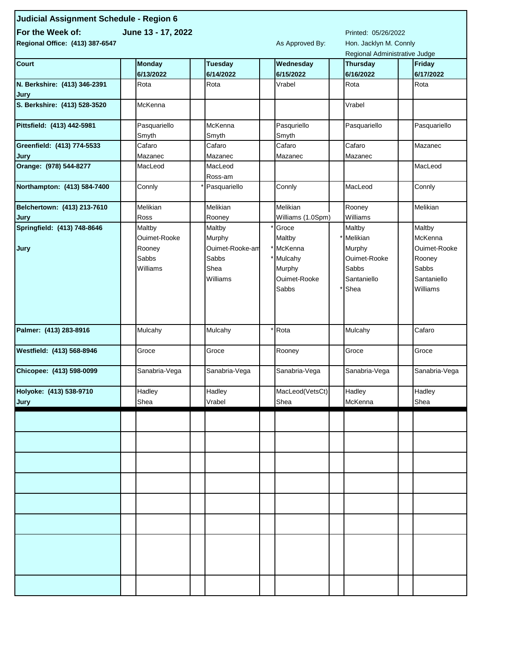| Judicial Assignment Schedule - Region 6                       |                       |                    |      |                               |  |                                                         |  |               |  |
|---------------------------------------------------------------|-----------------------|--------------------|------|-------------------------------|--|---------------------------------------------------------|--|---------------|--|
| For the Week of:<br>June 13 - 17, 2022<br>Printed: 05/26/2022 |                       |                    |      |                               |  |                                                         |  |               |  |
| Regional Office: (413) 387-6547                               |                       | As Approved By:    |      |                               |  |                                                         |  |               |  |
|                                                               |                       |                    |      |                               |  | Hon. Jacklyn M. Connly<br>Regional Administrative Judge |  |               |  |
| <b>Court</b>                                                  | <b>Monday</b>         | <b>Tuesday</b>     |      | Wednesday                     |  | Thursday<br><b>Friday</b>                               |  |               |  |
|                                                               | 6/13/2022             | 6/14/2022          |      | 6/15/2022                     |  | 6/16/2022                                               |  | 6/17/2022     |  |
| N. Berkshire: (413) 346-2391<br>Jury                          | Rota                  | Rota               |      | Vrabel                        |  | Rota                                                    |  | Rota          |  |
| S. Berkshire: (413) 528-3520                                  | McKenna               |                    |      |                               |  | Vrabel                                                  |  |               |  |
| Pittsfield: (413) 442-5981                                    | Pasquariello<br>Smyth | McKenna<br>Smyth   |      | Pasquriello<br>Smyth          |  | Pasquariello                                            |  | Pasquariello  |  |
| Greenfield: (413) 774-5533                                    | Cafaro                | Cafaro             |      | Cafaro                        |  | Cafaro                                                  |  | Mazanec       |  |
| Jury                                                          | Mazanec               | Mazanec            |      | Mazanec                       |  | Mazanec                                                 |  |               |  |
| Orange: (978) 544-8277                                        | MacLeod               | MacLeod<br>Ross-am |      |                               |  |                                                         |  | MacLeod       |  |
| Northampton: (413) 584-7400                                   | Connly                | Pasquariello       |      | Connly                        |  | MacLeod                                                 |  | Connly        |  |
| Belchertown: (413) 213-7610                                   | Melikian<br>Ross      | Melikian<br>Rooney |      | Melikian<br>Williams (1.0Spm) |  | Rooney<br>Williams                                      |  | Melikian      |  |
| Jury<br>Springfield: (413) 748-8646                           | Maltby                | Maltby             |      | Groce                         |  | Maltby                                                  |  | Maltby        |  |
|                                                               | Ouimet-Rooke          | Murphy             |      | Maltby                        |  | Melikian                                                |  | McKenna       |  |
| Jury                                                          | Rooney                | Ouimet-Rooke-am    |      | McKenna                       |  | Murphy                                                  |  | Ouimet-Rooke  |  |
|                                                               | Sabbs                 | Sabbs              |      | Mulcahy                       |  | Ouimet-Rooke                                            |  | Rooney        |  |
|                                                               | Williams              | Shea               |      | Murphy                        |  | Sabbs                                                   |  | Sabbs         |  |
|                                                               |                       | Williams           |      | Ouimet-Rooke                  |  | Santaniello                                             |  | Santaniello   |  |
|                                                               |                       |                    |      | Sabbs                         |  | Shea                                                    |  | Williams      |  |
|                                                               |                       |                    |      |                               |  |                                                         |  |               |  |
| Palmer: (413) 283-8916                                        | Mulcahy               | Mulcahy            | Rota |                               |  | Mulcahy                                                 |  | Cafaro        |  |
| Westfield: (413) 568-8946                                     | Groce                 | Groce              |      | Rooney                        |  | Groce                                                   |  | Groce         |  |
| Chicopee: (413) 598-0099                                      | Sanabria-Vega         | Sanabria-Vega      |      | Sanabria-Vega                 |  | Sanabria-Vega                                           |  | Sanabria-Vega |  |
| Holyoke: (413) 538-9710                                       | Hadley                | Hadley             |      | MacLeod(VetsCt)               |  | Hadley                                                  |  | Hadley        |  |
| Jury                                                          | Shea                  | Vrabel             |      | Shea                          |  | McKenna                                                 |  | Shea          |  |
|                                                               |                       |                    |      |                               |  |                                                         |  |               |  |
|                                                               |                       |                    |      |                               |  |                                                         |  |               |  |
|                                                               |                       |                    |      |                               |  |                                                         |  |               |  |
|                                                               |                       |                    |      |                               |  |                                                         |  |               |  |
|                                                               |                       |                    |      |                               |  |                                                         |  |               |  |
|                                                               |                       |                    |      |                               |  |                                                         |  |               |  |
|                                                               |                       |                    |      |                               |  |                                                         |  |               |  |
|                                                               |                       |                    |      |                               |  |                                                         |  |               |  |
|                                                               |                       |                    |      |                               |  |                                                         |  |               |  |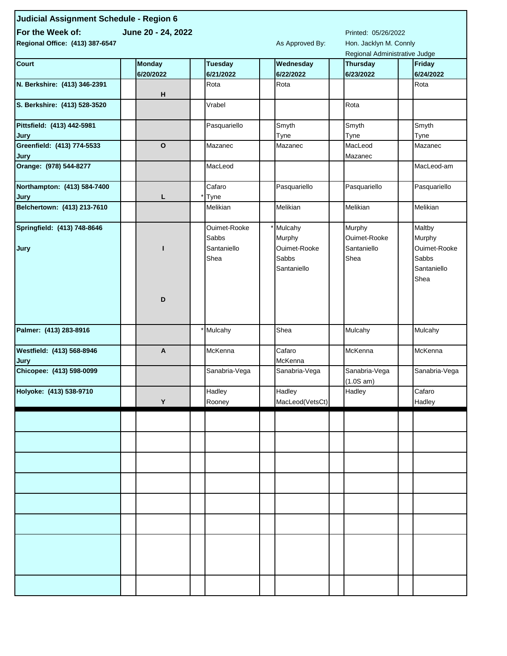| Judicial Assignment Schedule - Region 6               |               |  |                |                     |                   |  |                               |  |               |  |
|-------------------------------------------------------|---------------|--|----------------|---------------------|-------------------|--|-------------------------------|--|---------------|--|
| For the Week of:                                      |               |  |                | Printed: 05/26/2022 |                   |  |                               |  |               |  |
| June 20 - 24, 2022<br>Regional Office: (413) 387-6547 |               |  |                |                     | As Approved By:   |  | Hon. Jacklyn M. Connly        |  |               |  |
|                                                       |               |  |                |                     |                   |  | Regional Administrative Judge |  |               |  |
| <b>Court</b>                                          | <b>Monday</b> |  | <b>Tuesday</b> |                     | Wednesday         |  | <b>Thursday</b>               |  | <b>Friday</b> |  |
|                                                       | 6/20/2022     |  | 6/21/2022      |                     | 6/22/2022         |  | 6/23/2022                     |  | 6/24/2022     |  |
| N. Berkshire: (413) 346-2391                          | н             |  | Rota           |                     | Rota              |  |                               |  | Rota          |  |
| S. Berkshire: (413) 528-3520                          |               |  | Vrabel         |                     |                   |  | Rota                          |  |               |  |
| Pittsfield: (413) 442-5981                            |               |  | Pasquariello   |                     | Smyth             |  | Smyth                         |  | Smyth         |  |
| Jury                                                  | $\mathbf{o}$  |  |                |                     | Tyne              |  | Tyne                          |  | Tyne          |  |
| Greenfield: (413) 774-5533<br>Jury                    |               |  | Mazanec        |                     | Mazanec           |  | MacLeod<br>Mazanec            |  | Mazanec       |  |
| Orange: (978) 544-8277                                |               |  | MacLeod        |                     |                   |  |                               |  | MacLeod-am    |  |
| Northampton: (413) 584-7400<br>Jury                   | L             |  | Cafaro<br>Tyne |                     | Pasquariello      |  | Pasquariello                  |  | Pasquariello  |  |
| Belchertown: (413) 213-7610                           |               |  | Melikian       |                     | Melikian          |  | Melikian                      |  | Melikian      |  |
| Springfield: (413) 748-8646                           |               |  | Ouimet-Rooke   |                     | Mulcahy           |  | Murphy                        |  | Maltby        |  |
|                                                       |               |  | Sabbs          |                     | Murphy            |  | Ouimet-Rooke                  |  | Murphy        |  |
| Jury                                                  |               |  | Santaniello    |                     | Ouimet-Rooke      |  | Santaniello                   |  | Ouimet-Rooke  |  |
|                                                       |               |  | Shea           |                     | Sabbs             |  | Shea                          |  | Sabbs         |  |
|                                                       |               |  |                |                     | Santaniello       |  |                               |  | Santaniello   |  |
|                                                       |               |  |                |                     |                   |  |                               |  | Shea          |  |
|                                                       |               |  |                |                     |                   |  |                               |  |               |  |
|                                                       | D             |  |                |                     |                   |  |                               |  |               |  |
|                                                       |               |  |                |                     |                   |  |                               |  |               |  |
|                                                       |               |  |                |                     |                   |  |                               |  |               |  |
| Palmer: (413) 283-8916                                |               |  | Mulcahy        |                     | Shea              |  | Mulcahy                       |  | Mulcahy       |  |
| Westfield: (413) 568-8946<br>Jury                     | A             |  | McKenna        |                     | Cafaro<br>McKenna |  | McKenna                       |  | McKenna       |  |
| Chicopee: (413) 598-0099                              |               |  | Sanabria-Vega  |                     | Sanabria-Vega     |  | Sanabria-Vega                 |  | Sanabria-Vega |  |
|                                                       |               |  |                |                     |                   |  | (1.0S am)                     |  |               |  |
| Holyoke: (413) 538-9710                               |               |  | Hadley         |                     | Hadley            |  | Hadley                        |  | Cafaro        |  |
|                                                       | Y             |  | Rooney         |                     | MacLeod(VetsCt)   |  |                               |  | Hadley        |  |
|                                                       |               |  |                |                     |                   |  |                               |  |               |  |
|                                                       |               |  |                |                     |                   |  |                               |  |               |  |
|                                                       |               |  |                |                     |                   |  |                               |  |               |  |
|                                                       |               |  |                |                     |                   |  |                               |  |               |  |
|                                                       |               |  |                |                     |                   |  |                               |  |               |  |
|                                                       |               |  |                |                     |                   |  |                               |  |               |  |
|                                                       |               |  |                |                     |                   |  |                               |  |               |  |
|                                                       |               |  |                |                     |                   |  |                               |  |               |  |
|                                                       |               |  |                |                     |                   |  |                               |  |               |  |